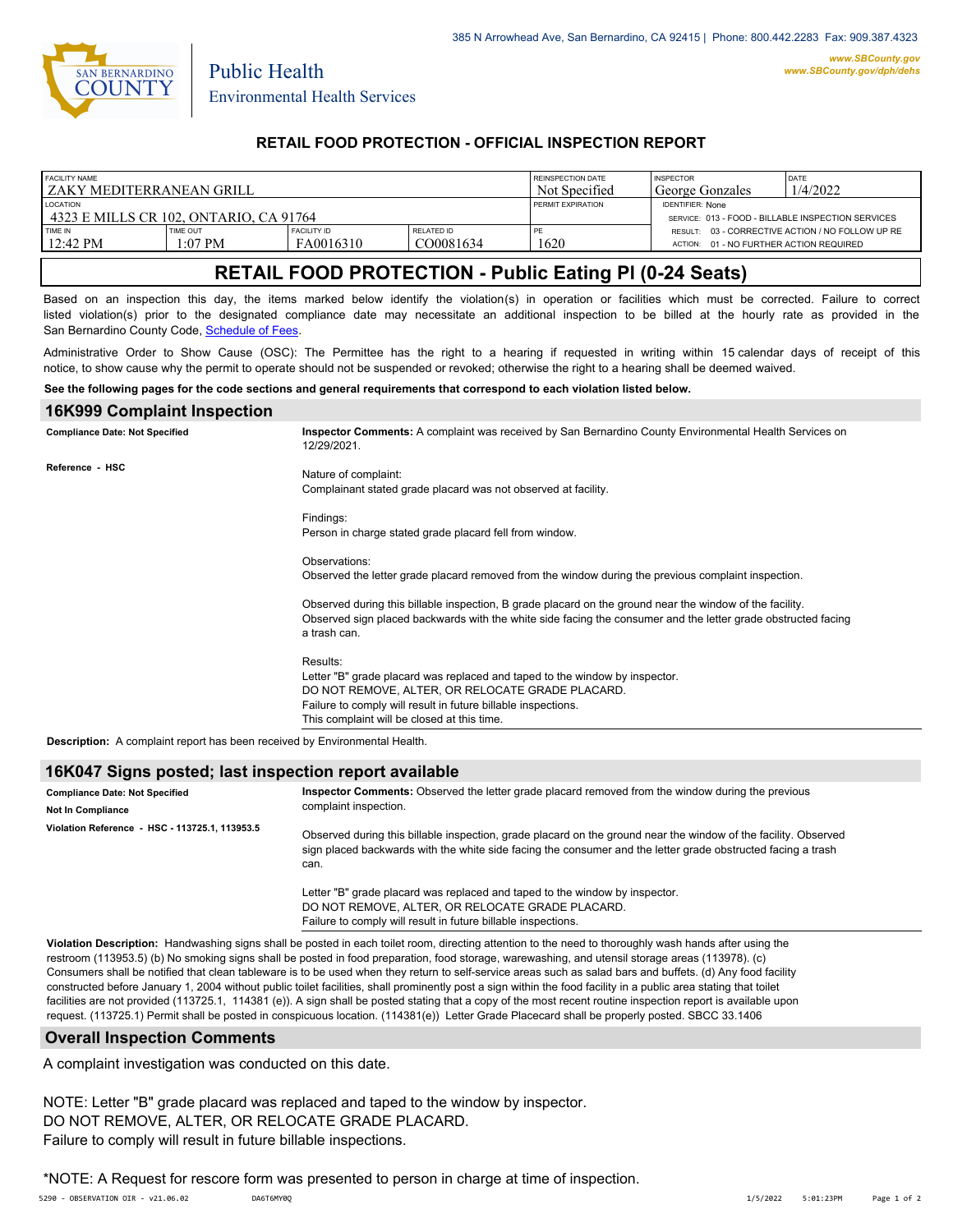

Public Health

### **RETAIL FOOD PROTECTION - OFFICIAL INSPECTION REPORT**

| <b>FACILITY NAME</b><br>I ZAKY MEDITERRANEAN GRILL        |                     |                                 |                         | REINSPECTION DATE<br>Not Specified | <b>INSPECTOR</b><br>George Gonzales                                           | DATE<br>1/4/2022                                 |
|-----------------------------------------------------------|---------------------|---------------------------------|-------------------------|------------------------------------|-------------------------------------------------------------------------------|--------------------------------------------------|
| <b>LOCATION</b><br>4323 E MILLS CR 102. ONTARIO. CA 91764 |                     |                                 |                         | PERMIT EXPIRATION                  | <b>IDENTIFIER: None</b><br>SERVICE: 013 - FOOD - BILLABLE INSPECTION SERVICES |                                                  |
| TIME IN<br>$12:42 \text{ PM}$                             | TIME OUT<br>1:07 PM | <b>FACILITY ID</b><br>FA0016310 | RELATED ID<br>CO0081634 | PE<br>1620                         | ACTION: 01 - NO FURTHER ACTION REQUIRED                                       | RESULT: 03 - CORRECTIVE ACTION / NO FOLLOW UP RE |

# **RETAIL FOOD PROTECTION - Public Eating Pl (0-24 Seats)**

Based on an inspection this day, the items marked below identify the violation(s) in operation or facilities which must be corrected. Failure to correct listed violation(s) prior to the designated compliance date may necessitate an additional inspection to be billed at the hourly rate as provided in the San Bernardino County Code, Schedule of Fees

Administrative Order to Show Cause (OSC): The Permittee has the right to a hearing if requested in writing within 15 calendar days of receipt of this notice, to show cause why the permit to operate should not be suspended or revoked; otherwise the right to a hearing shall be deemed waived.

#### **See the following pages for the code sections and general requirements that correspond to each violation listed below.**

### **16K999 Complaint Inspection Inspector Comments:** A complaint was received by San Bernardino County Environmental Health Services on 12/29/2021. Nature of complaint: Complainant stated grade placard was not observed at facility. Findings: Person in charge stated grade placard fell from window. Observations: Observed the letter grade placard removed from the window during the previous complaint inspection. Observed during this billable inspection, B grade placard on the ground near the window of the facility. Observed sign placed backwards with the white side facing the consumer and the letter grade obstructed facing a trash can. Results: Letter "B" grade placard was replaced and taped to the window by inspector. DO NOT REMOVE, ALTER, OR RELOCATE GRADE PLACARD. Failure to comply will result in future billable inspections. This complaint will be closed at this time. **Compliance Date: Not Specified Reference - HSC Description:** A complaint report has been received by Environmental Health.

 **16K047 Signs posted; last inspection report available**

| <b>Compliance Date: Not Specified</b><br><b>Not In Compliance</b> | Inspector Comments: Observed the letter grade placard removed from the window during the previous<br>complaint inspection.                                                                                                              |  |
|-------------------------------------------------------------------|-----------------------------------------------------------------------------------------------------------------------------------------------------------------------------------------------------------------------------------------|--|
| Violation Reference - HSC - 113725.1, 113953.5                    | Observed during this billable inspection, grade placard on the ground near the window of the facility. Observed<br>sign placed backwards with the white side facing the consumer and the letter grade obstructed facing a trash<br>can. |  |
|                                                                   | Letter "B" grade placard was replaced and taped to the window by inspector.<br>DO NOT REMOVE, ALTER, OR RELOCATE GRADE PLACARD.<br>Failure to comply will result in future billable inspections.                                        |  |

**Violation Description:** Handwashing signs shall be posted in each toilet room, directing attention to the need to thoroughly wash hands after using the restroom (113953.5) (b) No smoking signs shall be posted in food preparation, food storage, warewashing, and utensil storage areas (113978). (c) Consumers shall be notified that clean tableware is to be used when they return to self-service areas such as salad bars and buffets. (d) Any food facility constructed before January 1, 2004 without public toilet facilities, shall prominently post a sign within the food facility in a public area stating that toilet facilities are not provided (113725.1, 114381 (e)). A sign shall be posted stating that a copy of the most recent routine inspection report is available upon request. (113725.1) Permit shall be posted in conspicuous location. (114381(e)) Letter Grade Placecard shall be properly posted. SBCC 33.1406

#### **Overall Inspection Comments**

A complaint investigation was conducted on this date.

NOTE: Letter "B" grade placard was replaced and taped to the window by inspector. DO NOT REMOVE, ALTER, OR RELOCATE GRADE PLACARD. Failure to comply will result in future billable inspections.

\*NOTE: A Request for rescore form was presented to person in charge at time of inspection.